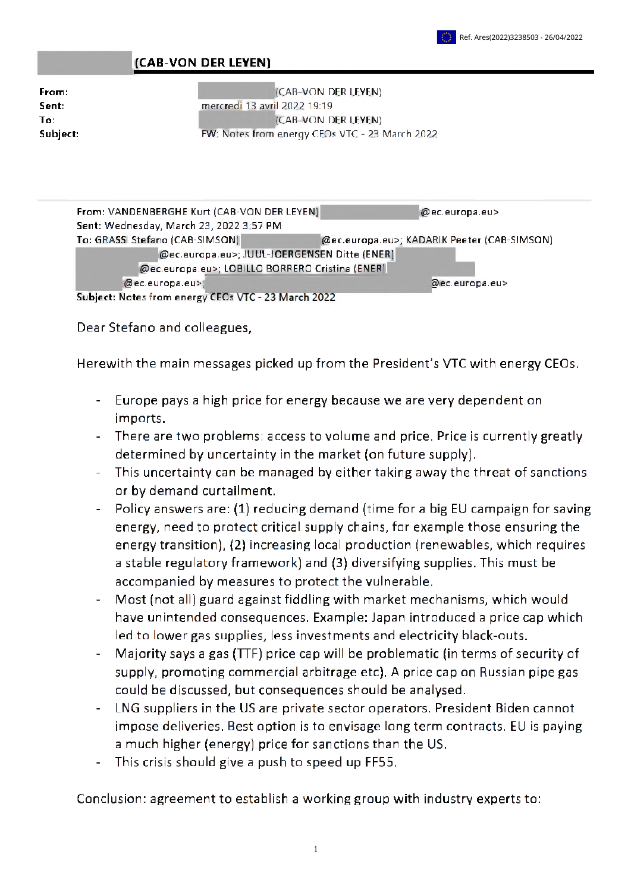## **(CAB-VON DER LEYEN)**

| From:    |
|----------|
| Sent:    |
| To:      |
| Subject: |

(CAB-VON DER LEYEN) mercredi 13 avril 2022 19:19 (CAB-VON DER LEYEN) FW: Notes from energy CEOs VTC - 23 March 2022

| From: VANDENBERGHE Kurt (CAB-VON DER LEYEN)         | @ec.europa.eu>                              |  |  |  |
|-----------------------------------------------------|---------------------------------------------|--|--|--|
| Sent: Wednesday, March 23, 2022 3:57 PM             |                                             |  |  |  |
| To: GRASSI Stefano (CAB-SIMSON)                     | @ec.europa.eu>; KADARIK Peeter (CAB-SIMSON) |  |  |  |
| @ec.europa.eu>; JUUL-JOERGENSEN Ditte (ENER)        |                                             |  |  |  |
| @ec.europa.eu>; LOBILLO BORRERO Cristina (ENER)     |                                             |  |  |  |
| @ec.europa.eu>                                      | @ec.europa.eu>                              |  |  |  |
| Subject: Notes from energy CEOs VTC - 23 March 2022 |                                             |  |  |  |

Dear Stefano and colleagues,

Herewith the main messages picked up from the President's VTC with energy CEOs.

- Europe pays <sup>a</sup> high price for energy because we are very dependent on imports.
- There are two problems: access to volume and price. Price is currently greatly determined by uncertainty in the market (on future supply).
- This uncertainty can be managed by either taking away the threat of sanctions or by demand curtailment.
- Policy answers are: (1) reducing demand (time for <sup>a</sup> big EU campaign for saving energy, need to protect critical supply chains, for example those ensuring the energy transition), (2) increasing local production (renewables, which requires a stable regulatory framework) and (3) diversifying supplies. This must be accompanied by measures to protect the vulnerable.
- Most (not all) guard against fiddling with market mechanisms, which would have unintended consequences. Example: Japan introduced a price cap which led to lower gas supplies, less investments and electricity black-outs.
- Majority says <sup>a</sup> gas (TTF) price cap will be problematic (in terms of security of supply, promoting commercial arbitrage etc). A price cap on Russian pipe gas could be discussed, but consequences should be analysed.
- LNG suppliers in the US are private sector operators. President Biden cannot impose deliveries. Best option is to envisage long term contracts. EU is paying <sup>a</sup> much higher (energy) price for sanctions than the US.
- This crisis should give a push to speed up FF55.

Conclusion: agreement to establish <sup>a</sup> working group with industry experts to: